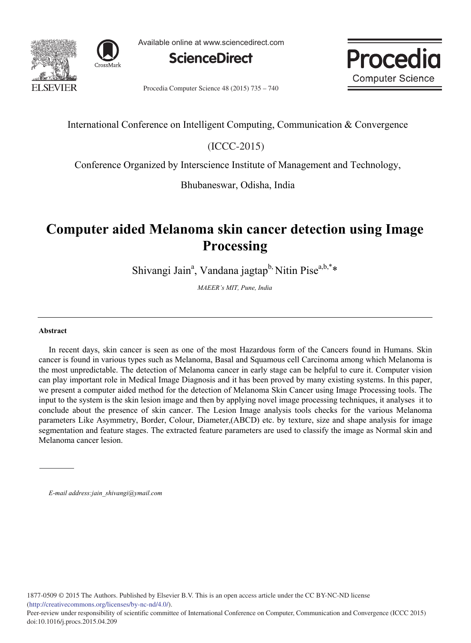



Available online at www.sciencedirect.com





Procedia Computer Science 48 (2015) 735 – 740

# International Conference on Intelligent Computing, Communication & Convergence

 $(ICC-2015)$ 

Conference Organized by Interscience Institute of Management and Technology,

Bhubaneswar, Odisha, India

# **Computer aided Melanoma skin cancer detection using Image Processing**

Shivangi Jain<sup>a</sup>, Vandana jagtap<sup>b,</sup> Nitin Pise<sup>a,b,\*</sup>\*

*MAEER's MIT, Pune, India*

# **Abstract**

In recent days, skin cancer is seen as one of the most Hazardous form of the Cancers found in Humans. Skin cancer is found in various types such as Melanoma, Basal and Squamous cell Carcinoma among which Melanoma is the most unpredictable. The detection of Melanoma cancer in early stage can be helpful to cure it. Computer vision can play important role in Medical Image Diagnosis and it has been proved by many existing systems. In this paper, we present a computer aided method for the detection of Melanoma Skin Cancer using Image Processing tools. The input to the system is the skin lesion image and then by applying novel image processing techniques, it analyses it to conclude about the presence of skin cancer. The Lesion Image analysis tools checks for the various Melanoma parameters Like Asymmetry, Border, Colour, Diameter,(ABCD) etc. by texture, size and shape analysis for image segmentation and feature stages. The extracted feature parameters are used to classify the image as Normal skin and Melanoma cancer lesion.

*E-mail address:jain\_shivangi@ymail.com*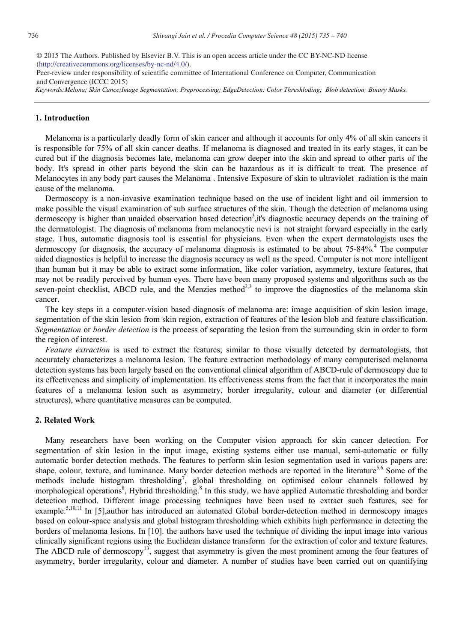(http://creativecommons.org/licenses/by-nc-nd/4.0/). © 2015 The Authors. Published by Elsevier B.V. This is an open access article under the CC BY-NC-ND license

Peer-review under responsibility of scientific committee of International Conference on Computer, Communication and Convergence (ICCC 2015)

*Keywords:Melona; Skin Cance;Image Segmentation; Preprocessing; EdgeDetection; Color Threshloding; Blob detection; Binary Masks.*

## **1. Introduction**

Melanoma is a particularly deadly form of skin cancer and although it accounts for only 4% of all skin cancers it is responsible for 75% of all skin cancer deaths. If melanoma is diagnosed and treated in its early stages, it can be cured but if the diagnosis becomes late, melanoma can grow deeper into the skin and spread to other parts of the body. It's spread in other parts beyond the skin can be hazardous as it is difficult to treat. The presence of Melanocytes in any body part causes the Melanoma . Intensive Exposure of skin to ultraviolet radiation is the main cause of the melanoma.

Dermoscopy is a non-invasive examination technique based on the use of incident light and oil immersion to make possible the visual examination of sub surface structures of the skin. Though the detection of melanoma using dermoscopy is higher than unaided observation based detection<sup>3</sup>, it's diagnostic accuracy depends on the training of the dermatologist. The diagnosis of melanoma from melanocytic nevi is not straight forward especially in the early stage. Thus, automatic diagnosis tool is essential for physicians. Even when the expert dermatologists uses the dermoscopy for diagnosis, the accuracy of melanoma diagnosis is estimated to be about 75-84%.<sup>4</sup> The computer aided diagnostics is helpful to increase the diagnosis accuracy as well as the speed. Computer is not more intelligent than human but it may be able to extract some information, like color variation, asymmetry, texture features, that may not be readily perceived by human eyes. There have been many proposed systems and algorithms such as the seven-point checklist, ABCD rule, and the Menzies method<sup>2,3</sup> to improve the diagnostics of the melanoma skin cancer.

The key steps in a computer-vision based diagnosis of melanoma are: image acquisition of skin lesion image, segmentation of the skin lesion from skin region, extraction of features of the lesion blob and feature classification. *Segmentation* or *border detection* is the process of separating the lesion from the surrounding skin in order to form the region of interest.

*Feature extraction* is used to extract the features; similar to those visually detected by dermatologists, that accurately characterizes a melanoma lesion. The feature extraction methodology of many computerised melanoma detection systems has been largely based on the conventional clinical algorithm of ABCD-rule of dermoscopy due to its effectiveness and simplicity of implementation. Its effectiveness stems from the fact that it incorporates the main features of a melanoma lesion such as asymmetry, border irregularity, colour and diameter (or differential structures), where quantitative measures can be computed.

#### **2. Related Work**

Many researchers have been working on the Computer vision approach for skin cancer detection. For segmentation of skin lesion in the input image, existing systems either use manual, semi-automatic or fully automatic border detection methods. The features to perform skin lesion segmentation used in various papers are: shape, colour, texture, and luminance. Many border detection methods are reported in the literature<sup>5,6</sup> Some of the methods include histogram thresholding<sup>7</sup>, global thresholding on optimised colour channels followed by morphological operations<sup>8</sup>, Hybrid thresholding.<sup>8</sup> In this study, we have applied Automatic thresholding and border detection method. Different image processing techniques have been used to extract such features, see for example.<sup>5,10,11</sup> In [5],author has introduced an automated Global border-detection method in dermoscopy images based on colour-space analysis and global histogram thresholding which exhibits high performance in detecting the borders of melanoma lesions. In [10]. the authors have used the technique of dividing the input image into various clinically significant regions using the Euclidean distance transform for the extraction of color and texture features. The ABCD rule of dermoscopy<sup>13</sup>, suggest that asymmetry is given the most prominent among the four features of asymmetry, border irregularity, colour and diameter. A number of studies have been carried out on quantifying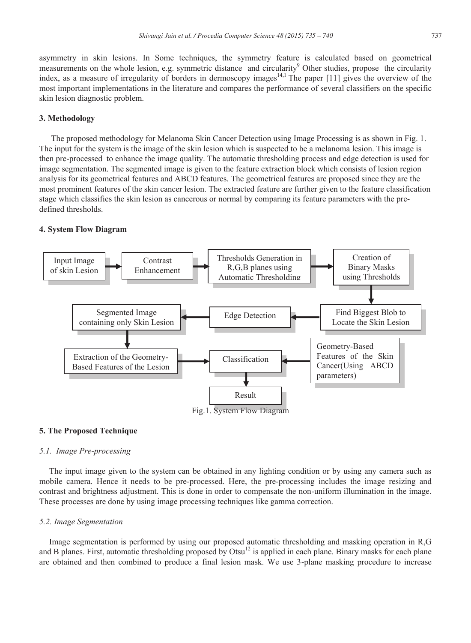asymmetry in skin lesions. In Some techniques, the symmetry feature is calculated based on geometrical measurements on the whole lesion, e.g. symmetric distance and circularity<sup>9</sup> Other studies, propose the circularity index, as a measure of irregularity of borders in dermoscopy images<sup>14,1</sup> The paper  $[11]$  gives the overview of the most important implementations in the literature and compares the performance of several classifiers on the specific skin lesion diagnostic problem.

# **3. Methodology**

The proposed methodology for Melanoma Skin Cancer Detection using Image Processing is as shown in Fig. 1. The input for the system is the image of the skin lesion which is suspected to be a melanoma lesion. This image is then pre-processed to enhance the image quality. The automatic thresholding process and edge detection is used for image segmentation. The segmented image is given to the feature extraction block which consists of lesion region analysis for its geometrical features and ABCD features. The geometrical features are proposed since they are the most prominent features of the skin cancer lesion. The extracted feature are further given to the feature classification stage which classifies the skin lesion as cancerous or normal by comparing its feature parameters with the predefined thresholds.

### **4. System Flow Diagram**



#### **5. The Proposed Technique**

# *5.1. Image Pre-processing*

The input image given to the system can be obtained in any lighting condition or by using any camera such as mobile camera. Hence it needs to be pre-processed. Here, the pre-processing includes the image resizing and contrast and brightness adjustment. This is done in order to compensate the non-uniform illumination in the image. These processes are done by using image processing techniques like gamma correction.

# *5.2. Image Segmentation*

Image segmentation is performed by using our proposed automatic thresholding and masking operation in R,G and B planes. First, automatic thresholding proposed by Otsu $12$  is applied in each plane. Binary masks for each plane are obtained and then combined to produce a final lesion mask. We use 3-plane masking procedure to increase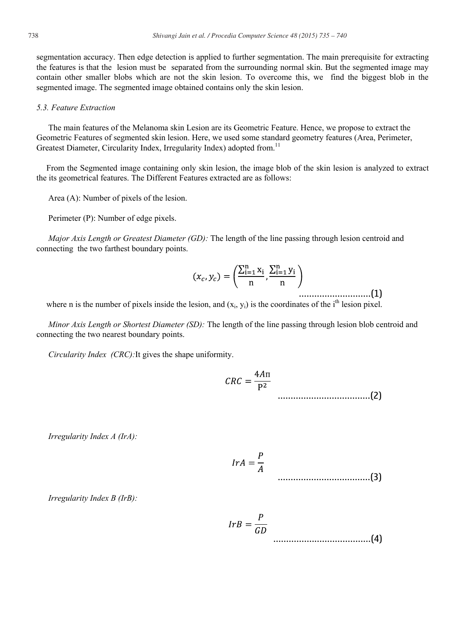segmentation accuracy. Then edge detection is applied to further segmentation. The main prerequisite for extracting the features is that the lesion must be separated from the surrounding normal skin. But the segmented image may contain other smaller blobs which are not the skin lesion. To overcome this, we find the biggest blob in the segmented image. The segmented image obtained contains only the skin lesion.

#### *5.3. Feature Extraction*

The main features of the Melanoma skin Lesion are its Geometric Feature. Hence, we propose to extract the Geometric Features of segmented skin lesion. Here, we used some standard geometry features (Area, Perimeter, Greatest Diameter, Circularity Index, Irregularity Index) adopted from.<sup>11</sup>

From the Segmented image containing only skin lesion, the image blob of the skin lesion is analyzed to extract the its geometrical features. The Different Features extracted are as follows:

Area (A): Number of pixels of the lesion.

Perimeter (P): Number of edge pixels.

*Major Axis Length or Greatest Diameter (GD):* The length of the line passing through lesion centroid and connecting the two farthest boundary points.

............................(1)

where n is the number of pixels inside the lesion, and  $(x_i, y_i)$  is the coordinates of the i<sup>th</sup> lesion pixel.

*Minor Axis Length or Shortest Diameter (SD):* The length of the line passing through lesion blob centroid and connecting the two nearest boundary points.

*Circularity Index (CRC):*It gives the shape uniformity.

....................................(2)

*Irregularity Index A (IrA):*

$$
IrA = \frac{P}{A}
$$
 (3)

*Irregularity Index B (IrB):*

$$
IrB = \frac{P}{GD}
$$
 (4)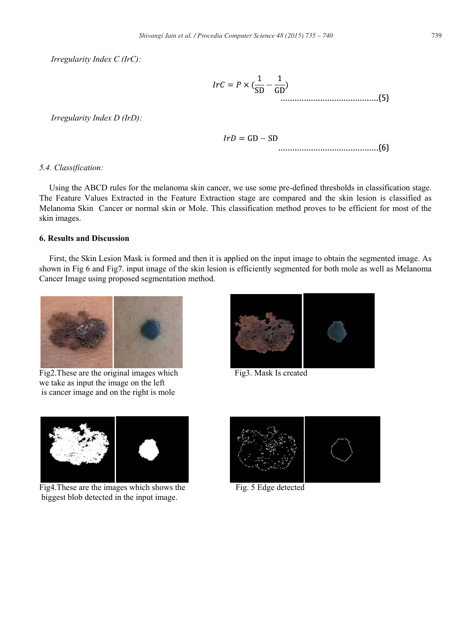*Irregularity Index C (IrC):*

$$
IrC = P \times (\frac{1}{SD} - \frac{1}{GD})
$$

*Irregularity Index D (IrD):*

$$
IrD = GD - SD
$$

#### *5.4. Classification:*

Using the ABCD rules for the melanoma skin cancer, we use some pre-defined thresholds in classification stage. The Feature Values Extracted in the Feature Extraction stage are compared and the skin lesion is classified as Melanoma Skin Cancer or normal skin or Mole. This classification method proves to be efficient for most of the skin images.

# **6. Results and Discussion**

First, the Skin Lesion Mask is formed and then it is applied on the input image to obtain the segmented image. As shown in Fig 6 and Fig7. input image of the skin lesion is efficiently segmented for both mole as well as Melanoma Cancer Image using proposed segmentation method.



Fig2. These are the original images which Fig3. Mask Is created we take as input the image on the left is cancer image and on the right is mole





Fig4. These are the images which shows the Fig. 5 Edge detected biggest blob detected in the input image.